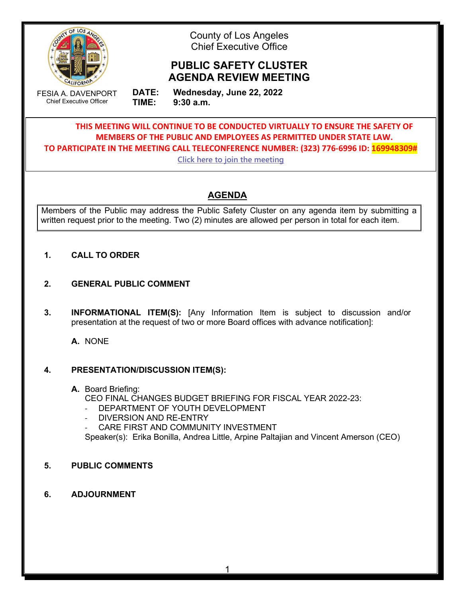

County of Los Angeles Chief Executive Office

# **PUBLIC SAFETY CLUSTER AGENDA REVIEW MEETING**

FESIA A. DAVENPORT Chief Executive Officer

**DATE: Wednesday, June 22, 2022 TIME: 9:30 a.m.**

**THIS MEETING WILL CONTINUE TO BE CONDUCTED VIRTUALLY TO ENSURE THE SAFETY OF MEMBERS OF THE PUBLIC AND EMPLOYEES AS PERMITTED UNDER STATE LAW. TO PARTICIPATE IN THE MEETING CALL TELECONFERENCE NUMBER: (323) 776-6996 ID: 169948309#**

**[Click here to join the meeting](https://teams.microsoft.com/l/meetup-join/19%3ameeting_OTgxOGUzZjktZTliNS00Yzc5LThlOGQtNTYwZGI0M2RkNmJi%40thread.v2/0?context=%7b%22Tid%22%3a%2207597248-ea38-451b-8abe-a638eddbac81%22%2c%22Oid%22%3a%22161e6b4f-1055-4a5d-8d88-66d29dd331d7%22%7d)**

## **AGENDA**

Members of the Public may address the Public Safety Cluster on any agenda item by submitting a written request prior to the meeting. Two (2) minutes are allowed per person in total for each item.

## **1. CALL TO ORDER**

- **2. GENERAL PUBLIC COMMENT**
- **3. INFORMATIONAL ITEM(S):** [Any Information Item is subject to discussion and/or presentation at the request of two or more Board offices with advance notification]:

**A.** NONE

## **4. PRESENTATION/DISCUSSION ITEM(S):**

## **A.** Board Briefing: CEO FINAL CHANGES BUDGET BRIEFING FOR FISCAL YEAR 2022-23:

- DEPARTMENT OF YOUTH DEVELOPMENT
- DIVERSION AND RE-ENTRY
- CARE FIRST AND COMMUNITY INVESTMENT

Speaker(s): Erika Bonilla, Andrea Little, Arpine Paltajian and Vincent Amerson (CEO)

- **5. PUBLIC COMMENTS**
- **6. ADJOURNMENT**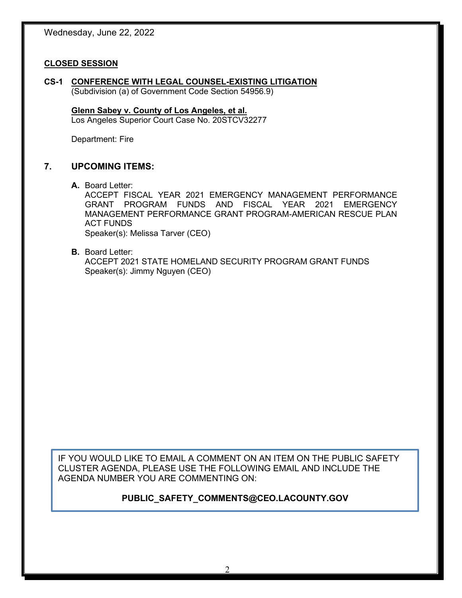#### **CLOSED SESSION**

**CS-1 CONFERENCE WITH LEGAL COUNSEL-EXISTING LITIGATION** (Subdivision (a) of Government Code Section 54956.9)

**Glenn Sabey v. County of Los Angeles, et al.** Los Angeles Superior Court Case No. 20STCV32277

Department: Fire

#### **7. UPCOMING ITEMS:**

**A.** Board Letter:

ACCEPT FISCAL YEAR 2021 EMERGENCY MANAGEMENT PERFORMANCE GRANT PROGRAM FUNDS AND FISCAL YEAR 2021 EMERGENCY MANAGEMENT PERFORMANCE GRANT PROGRAM-AMERICAN RESCUE PLAN ACT FUNDS Speaker(s): Melissa Tarver (CEO)

**B.** Board Letter: ACCEPT 2021 STATE HOMELAND SECURITY PROGRAM GRANT FUNDS Speaker(s): Jimmy Nguyen (CEO)

IF YOU WOULD LIKE TO EMAIL A COMMENT ON AN ITEM ON THE PUBLIC SAFETY CLUSTER AGENDA, PLEASE USE THE FOLLOWING EMAIL AND INCLUDE THE AGENDA NUMBER YOU ARE COMMENTING ON:

#### **PUBLIC\_SAFETY\_COMMENTS@CEO.LACOUNTY.GOV**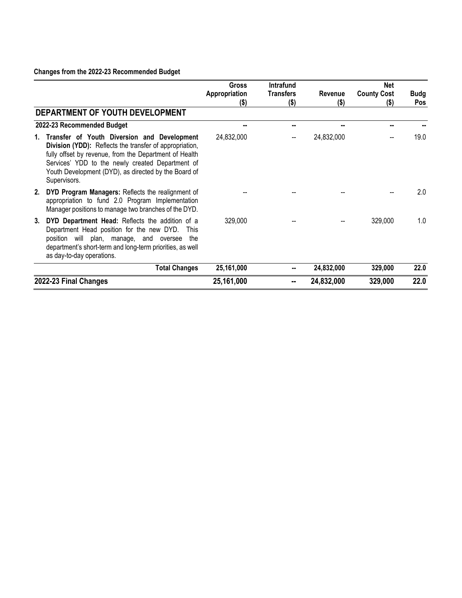### **Changes from the 2022-23 Recommended Budget**

|                       |                                                                                                                                                                                                                                                                                              | <b>Gross</b>             | Intrafund                   |                    | <b>Net</b>                    |                           |
|-----------------------|----------------------------------------------------------------------------------------------------------------------------------------------------------------------------------------------------------------------------------------------------------------------------------------------|--------------------------|-----------------------------|--------------------|-------------------------------|---------------------------|
|                       |                                                                                                                                                                                                                                                                                              | Appropriation<br>$($ \$) | <b>Transfers</b><br>$($ \$) | Revenue<br>$($ \$) | <b>County Cost</b><br>$($ \$) | <b>Budg</b><br><b>Pos</b> |
|                       | DEPARTMENT OF YOUTH DEVELOPMENT                                                                                                                                                                                                                                                              |                          |                             |                    |                               |                           |
|                       | 2022-23 Recommended Budget                                                                                                                                                                                                                                                                   |                          | --                          | --                 | --                            |                           |
| 1.                    | Transfer of Youth Diversion and Development<br>Division (YDD): Reflects the transfer of appropriation,<br>fully offset by revenue, from the Department of Health<br>Services' YDD to the newly created Department of<br>Youth Development (DYD), as directed by the Board of<br>Supervisors. | 24,832,000               |                             | 24,832,000         |                               | 19.0                      |
| 2.                    | DYD Program Managers: Reflects the realignment of<br>appropriation to fund 2.0 Program Implementation<br>Manager positions to manage two branches of the DYD.                                                                                                                                |                          |                             |                    |                               | 2.0                       |
| 3.                    | DYD Department Head: Reflects the addition of a<br>Department Head position for the new DYD.<br><b>This</b><br>position will plan, manage, and oversee the<br>department's short-term and long-term priorities, as well<br>as day-to-day operations.                                         | 329,000                  |                             |                    | 329,000                       | 1.0                       |
|                       | <b>Total Changes</b>                                                                                                                                                                                                                                                                         | 25,161,000               |                             | 24,832,000         | 329,000                       | 22.0                      |
| 2022-23 Final Changes |                                                                                                                                                                                                                                                                                              | 25,161,000               | --                          | 24,832,000         | 329,000                       | 22.0                      |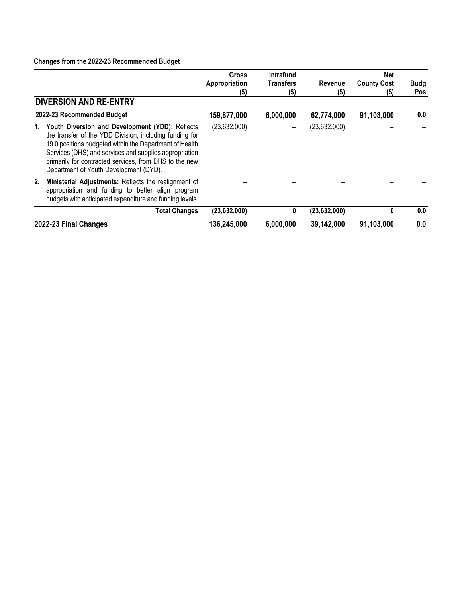### **Changes from the 2022-23 Recommended Budget**

|    |                                                                                                                                                                                                                                                                                                                                     | <b>Gross</b>          | <b>Intrafund</b>            |                 | <b>Net</b>                 |                           |
|----|-------------------------------------------------------------------------------------------------------------------------------------------------------------------------------------------------------------------------------------------------------------------------------------------------------------------------------------|-----------------------|-----------------------------|-----------------|----------------------------|---------------------------|
|    |                                                                                                                                                                                                                                                                                                                                     | Appropriation<br>(\$) | <b>Transfers</b><br>$($ \$) | Revenue<br>(\$) | <b>County Cost</b><br>(\$) | <b>Budg</b><br><b>Pos</b> |
|    | <b>DIVERSION AND RE-ENTRY</b>                                                                                                                                                                                                                                                                                                       |                       |                             |                 |                            |                           |
|    | 2022-23 Recommended Budget                                                                                                                                                                                                                                                                                                          | 159,877,000           | 6,000,000                   | 62,774,000      | 91,103,000                 | 0.0                       |
| 1. | Youth Diversion and Development (YDD): Reflects<br>the transfer of the YDD Division, including funding for<br>19.0 positions budgeted within the Department of Health<br>Services (DHS) and services and supplies appropriation<br>primarily for contracted services, from DHS to the new<br>Department of Youth Development (DYD). | (23,632,000)          |                             | (23,632,000)    |                            |                           |
| 2. | Ministerial Adjustments: Reflects the realignment of<br>appropriation and funding to better align program<br>budgets with anticipated expenditure and funding levels.                                                                                                                                                               |                       |                             |                 |                            |                           |
|    | <b>Total Changes</b>                                                                                                                                                                                                                                                                                                                | (23, 632, 000)        | 0                           | (23, 632, 000)  | 0                          | 0.0                       |
|    | 2022-23 Final Changes                                                                                                                                                                                                                                                                                                               | 136,245,000           | 6,000,000                   | 39,142,000      | 91,103,000                 | 0.0                       |